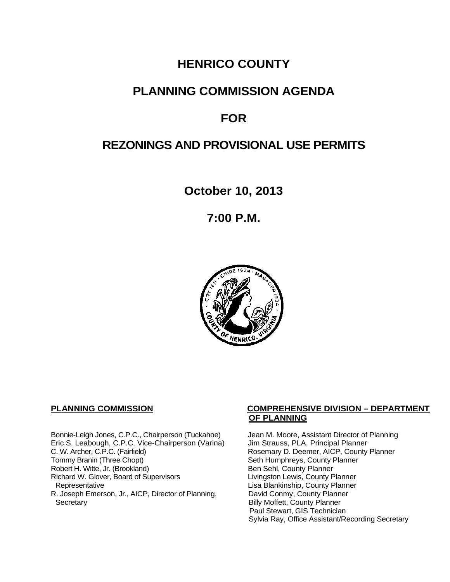# **HENRICO COUNTY**

## **PLANNING COMMISSION AGENDA**

# **FOR**

# **REZONINGS AND PROVISIONAL USE PERMITS**

**October 10, 2013**

**7:00 P.M.**



Bonnie-Leigh Jones, C.P.C., Chairperson (Tuckahoe) Jean M. Moore, Assistant Director of Planning<br>Eric S. Leabough, C.P.C. Vice-Chairperson (Varina) Jim Strauss, PLA, Principal Planner Eric S. Leabough, C.P.C. Vice-Chairperson (Varina)<br>C. W. Archer, C.P.C. (Fairfield) C. W. Archer, C.P.C. (Fairfield) Rosemary D. Deemer, AICP, County Planner<br>Tommy Branin (Three Chopt) Seth Humphreys, County Planner Robert H. Witte, Jr. (Brookland)<br>
Richard W. Glover, Board of Supervisors<br>
Livingston Lewis, County Planner Richard W. Glover, Board of Supervisors<br>Representative R. Joseph Emerson, Jr., AICP, Director of Planning, Secretary

### **PLANNING COMMISSION COMPREHENSIVE DIVISION – DEPARTMENT OF PLANNING**

Seth Humphreys, County Planner<br>Ben Sehl, County Planner Lisa Blankinship, County Planner<br>David Conmy, County Planner **Billy Moffett, County Planner** Paul Stewart, GIS Technician Sylvia Ray, Office Assistant/Recording Secretary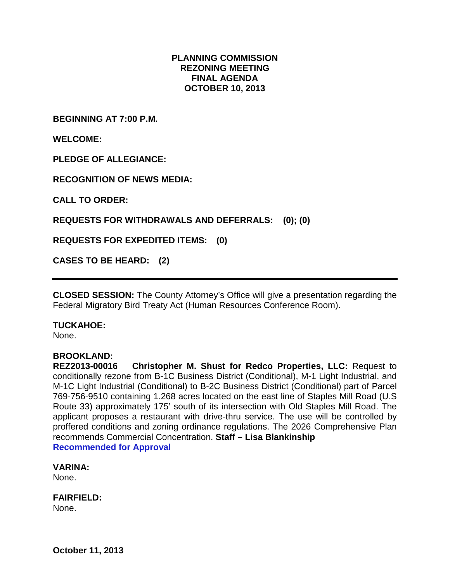## **PLANNING COMMISSION REZONING MEETING FINAL AGENDA OCTOBER 10, 2013**

**BEGINNING AT 7:00 P.M.**

**WELCOME:**

**PLEDGE OF ALLEGIANCE:**

**RECOGNITION OF NEWS MEDIA:**

**CALL TO ORDER:**

**REQUESTS FOR WITHDRAWALS AND DEFERRALS: (0); (0)**

**REQUESTS FOR EXPEDITED ITEMS: (0)**

**CASES TO BE HEARD: (2)**

**CLOSED SESSION:** The County Attorney's Office will give a presentation regarding the Federal Migratory Bird Treaty Act (Human Resources Conference Room).

#### **TUCKAHOE:**

None.

#### **BROOKLAND:**

**REZ2013-00016 Christopher M. Shust for Redco Properties, LLC:** Request to conditionally rezone from B-1C Business District (Conditional), M-1 Light Industrial, and M-1C Light Industrial (Conditional) to B-2C Business District (Conditional) part of Parcel 769-756-9510 containing 1.268 acres located on the east line of Staples Mill Road (U.S Route 33) approximately 175' south of its intersection with Old Staples Mill Road. The applicant proposes a restaurant with drive-thru service. The use will be controlled by proffered conditions and zoning ordinance regulations. The 2026 Comprehensive Plan recommends Commercial Concentration. **Staff – Lisa Blankinship Recommended for Approval**

**VARINA:**

None.

**FAIRFIELD:** None.

**October 11, 2013**